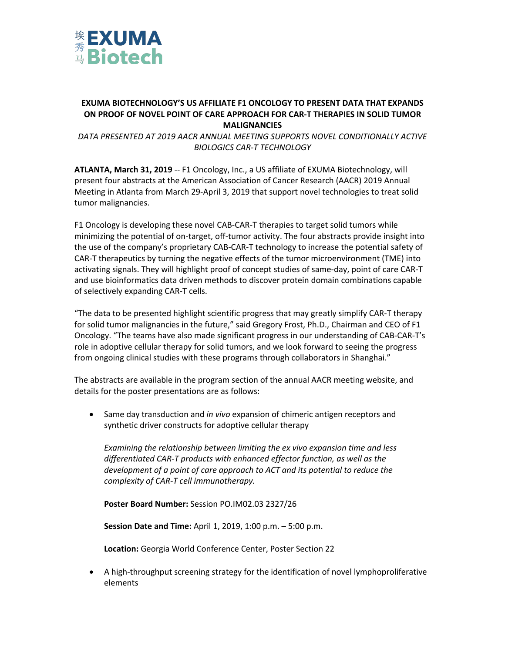

## **EXUMA BIOTECHNOLOGY'S US AFFILIATE F1 ONCOLOGY TO PRESENT DATA THAT EXPANDS ON PROOF OF NOVEL POINT OF CARE APPROACH FOR CAR-T THERAPIES IN SOLID TUMOR MALIGNANCIES**

*DATA PRESENTED AT 2019 AACR ANNUAL MEETING SUPPORTS NOVEL CONDITIONALLY ACTIVE BIOLOGICS CAR-T TECHNOLOGY*

**ATLANTA, March 31, 2019** -- F1 Oncology, Inc., a US affiliate of EXUMA Biotechnology, will present four abstracts at the American Association of Cancer Research (AACR) 2019 Annual Meeting in Atlanta from March 29-April 3, 2019 that support novel technologies to treat solid tumor malignancies.

F1 Oncology is developing these novel CAB-CAR-T therapies to target solid tumors while minimizing the potential of on-target, off-tumor activity. The four abstracts provide insight into the use of the company's proprietary CAB-CAR-T technology to increase the potential safety of CAR-T therapeutics by turning the negative effects of the tumor microenvironment (TME) into activating signals. They will highlight proof of concept studies of same-day, point of care CAR-T and use bioinformatics data driven methods to discover protein domain combinations capable of selectively expanding CAR-T cells.

"The data to be presented highlight scientific progress that may greatly simplify CAR-T therapy for solid tumor malignancies in the future," said Gregory Frost, Ph.D., Chairman and CEO of F1 Oncology. "The teams have also made significant progress in our understanding of CAB-CAR-T's role in adoptive cellular therapy for solid tumors, and we look forward to seeing the progress from ongoing clinical studies with these programs through collaborators in Shanghai."

The abstracts are available in the program section of the annual AACR meeting website, and details for the poster presentations are as follows:

• Same day transduction and *in vivo* expansion of chimeric antigen receptors and synthetic driver constructs for adoptive cellular therapy

*Examining the relationship between limiting the ex vivo expansion time and less differentiated CAR-T products with enhanced effector function, as well as the development of a point of care approach to ACT and its potential to reduce the complexity of CAR-T cell immunotherapy.*

**Poster Board Number:** Session PO.IM02.03 2327/26

**Session Date and Time:** April 1, 2019, 1:00 p.m. – 5:00 p.m.

**Location:** Georgia World Conference Center, Poster Section 22

• A high-throughput screening strategy for the identification of novel lymphoproliferative elements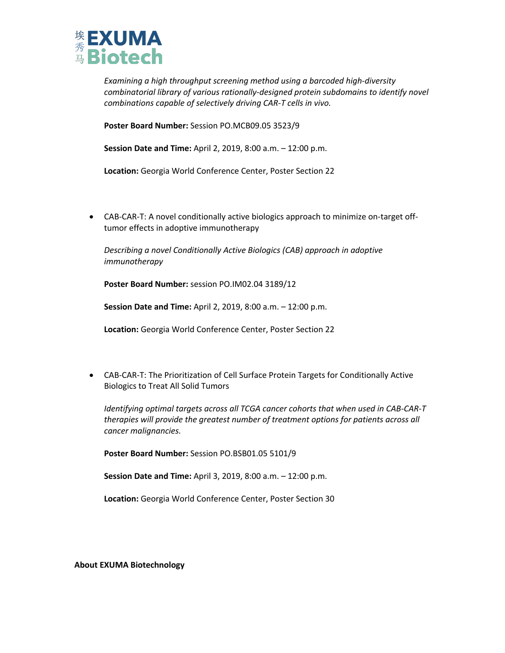

*Examining a high throughput screening method using a barcoded high-diversity combinatorial library of various rationally-designed protein subdomains to identify novel combinations capable of selectively driving CAR-T cells in vivo.*

**Poster Board Number:** Session PO.MCB09.05 3523/9

**Session Date and Time:** April 2, 2019, 8:00 a.m. – 12:00 p.m.

**Location:** Georgia World Conference Center, Poster Section 22

• CAB-CAR-T: A novel conditionally active biologics approach to minimize on-target offtumor effects in adoptive immunotherapy

*Describing a novel Conditionally Active Biologics (CAB) approach in adoptive immunotherapy*

**Poster Board Number:** session PO.IM02.04 3189/12

**Session Date and Time:** April 2, 2019, 8:00 a.m. – 12:00 p.m.

**Location:** Georgia World Conference Center, Poster Section 22

• CAB-CAR-T: The Prioritization of Cell Surface Protein Targets for Conditionally Active Biologics to Treat All Solid Tumors

*Identifying optimal targets across all TCGA cancer cohorts that when used in CAB-CAR-T therapies will provide the greatest number of treatment options for patients across all cancer malignancies.*

**Poster Board Number:** Session PO.BSB01.05 5101/9

**Session Date and Time:** April 3, 2019, 8:00 a.m. – 12:00 p.m.

**Location:** Georgia World Conference Center, Poster Section 30

**About EXUMA Biotechnology**